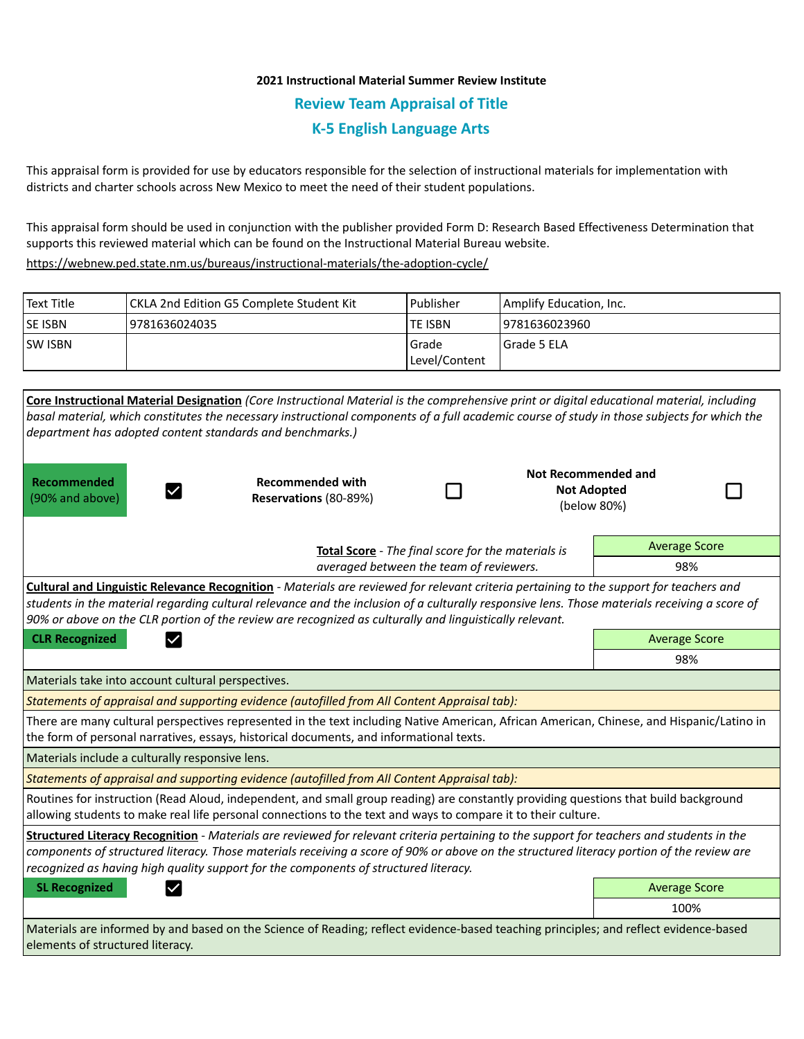## **2021 Instructional Material Summer Review Institute Review Team Appraisal of Title K-5 English Language Arts**

This appraisal form is provided for use by educators responsible for the selection of instructional materials for implementation with districts and charter schools across New Mexico to meet the need of their student populations.

This appraisal form should be used in conjunction with the publisher provided Form D: Research Based Effectiveness Determination that supports this reviewed material which can be found on the Instructional Material Bureau website.

<https://webnew.ped.state.nm.us/bureaus/instructional-materials/the-adoption-cycle/>

| Text Title     | CKLA 2nd Edition G5 Complete Student Kit | Publisher              | Amplify Education, Inc. |
|----------------|------------------------------------------|------------------------|-------------------------|
| <b>SE ISBN</b> | 19781636024035                           | lte ISBN               | 9781636023960           |
| <b>SW ISBN</b> |                                          | Grade<br>Level/Content | Grade 5 ELA             |

|                                                    | Core Instructional Material Designation (Core Instructional Material is the comprehensive print or digital educational material, including                                                                                                                                                                                                                                                          |  |                                                                            |                                                                 |     |  |  |
|----------------------------------------------------|-----------------------------------------------------------------------------------------------------------------------------------------------------------------------------------------------------------------------------------------------------------------------------------------------------------------------------------------------------------------------------------------------------|--|----------------------------------------------------------------------------|-----------------------------------------------------------------|-----|--|--|
|                                                    | basal material, which constitutes the necessary instructional components of a full academic course of study in those subjects for which the                                                                                                                                                                                                                                                         |  |                                                                            |                                                                 |     |  |  |
|                                                    | department has adopted content standards and benchmarks.)                                                                                                                                                                                                                                                                                                                                           |  |                                                                            |                                                                 |     |  |  |
| <b>Recommended</b><br>(90% and above)              | <b>Recommended with</b><br>Reservations (80-89%)                                                                                                                                                                                                                                                                                                                                                    |  |                                                                            | <b>Not Recommended and</b><br><b>Not Adopted</b><br>(below 80%) |     |  |  |
|                                                    |                                                                                                                                                                                                                                                                                                                                                                                                     |  | <b>Average Score</b><br>Total Score - The final score for the materials is |                                                                 |     |  |  |
|                                                    | averaged between the team of reviewers.                                                                                                                                                                                                                                                                                                                                                             |  |                                                                            |                                                                 | 98% |  |  |
|                                                    | Cultural and Linguistic Relevance Recognition - Materials are reviewed for relevant criteria pertaining to the support for teachers and<br>students in the material regarding cultural relevance and the inclusion of a culturally responsive lens. Those materials receiving a score of<br>90% or above on the CLR portion of the review are recognized as culturally and linguistically relevant. |  |                                                                            |                                                                 |     |  |  |
| <b>CLR Recognized</b>                              |                                                                                                                                                                                                                                                                                                                                                                                                     |  |                                                                            | <b>Average Score</b>                                            |     |  |  |
|                                                    |                                                                                                                                                                                                                                                                                                                                                                                                     |  |                                                                            | 98%                                                             |     |  |  |
| Materials take into account cultural perspectives. |                                                                                                                                                                                                                                                                                                                                                                                                     |  |                                                                            |                                                                 |     |  |  |
|                                                    | Statements of appraisal and supporting evidence (autofilled from All Content Appraisal tab):                                                                                                                                                                                                                                                                                                        |  |                                                                            |                                                                 |     |  |  |
|                                                    | There are many cultural perspectives represented in the text including Native American, African American, Chinese, and Hispanic/Latino in<br>the form of personal narratives, essays, historical documents, and informational texts.                                                                                                                                                                |  |                                                                            |                                                                 |     |  |  |
| Materials include a culturally responsive lens.    |                                                                                                                                                                                                                                                                                                                                                                                                     |  |                                                                            |                                                                 |     |  |  |
|                                                    | Statements of appraisal and supporting evidence (autofilled from All Content Appraisal tab):                                                                                                                                                                                                                                                                                                        |  |                                                                            |                                                                 |     |  |  |
|                                                    | Routines for instruction (Read Aloud, independent, and small group reading) are constantly providing questions that build background<br>allowing students to make real life personal connections to the text and ways to compare it to their culture.                                                                                                                                               |  |                                                                            |                                                                 |     |  |  |
|                                                    | Structured Literacy Recognition - Materials are reviewed for relevant criteria pertaining to the support for teachers and students in the<br>components of structured literacy. Those materials receiving a score of 90% or above on the structured literacy portion of the review are<br>recognized as having high quality support for the components of structured literacy.                      |  |                                                                            |                                                                 |     |  |  |
| <b>SL Recognized</b>                               |                                                                                                                                                                                                                                                                                                                                                                                                     |  |                                                                            | <b>Average Score</b>                                            |     |  |  |
|                                                    |                                                                                                                                                                                                                                                                                                                                                                                                     |  |                                                                            | 100%                                                            |     |  |  |
| elements of structured literacy.                   | Materials are informed by and based on the Science of Reading; reflect evidence-based teaching principles; and reflect evidence-based                                                                                                                                                                                                                                                               |  |                                                                            |                                                                 |     |  |  |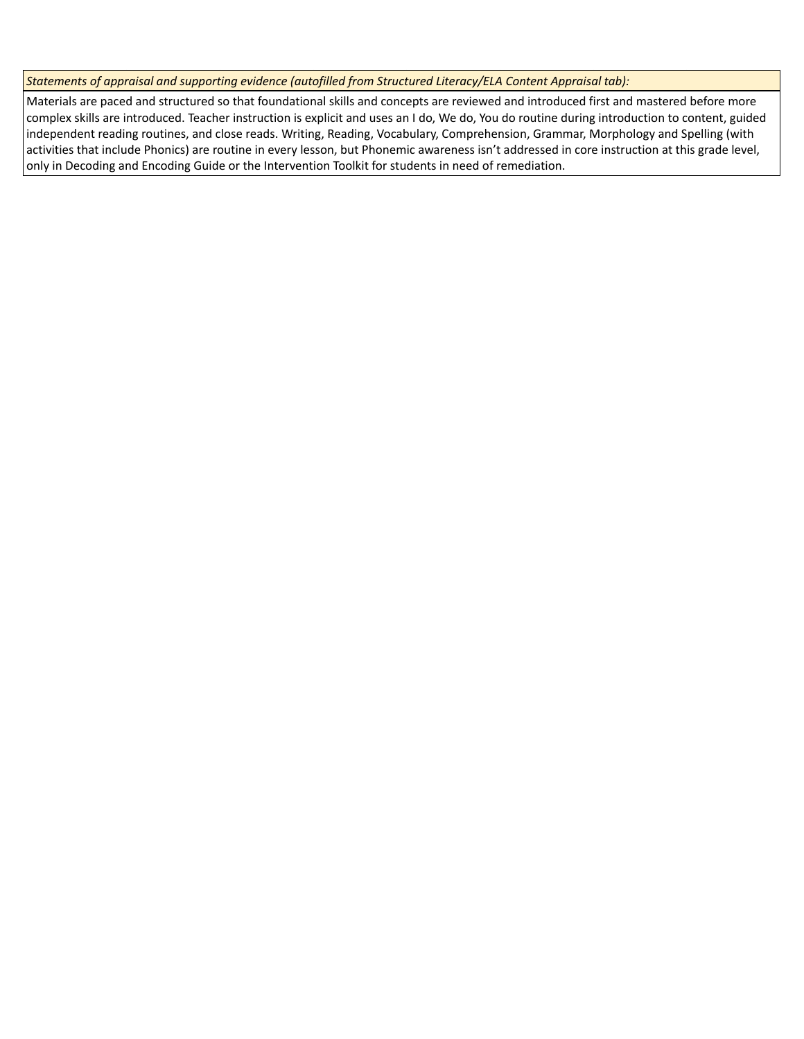*Statements of appraisal and supporting evidence (autofilled from Structured Literacy/ELA Content Appraisal tab):* 

Materials are paced and structured so that foundational skills and concepts are reviewed and introduced first and mastered before more complex skills are introduced. Teacher instruction is explicit and uses an I do, We do, You do routine during introduction to content, guided independent reading routines, and close reads. Writing, Reading, Vocabulary, Comprehension, Grammar, Morphology and Spelling (with activities that include Phonics) are routine in every lesson, but Phonemic awareness isn't addressed in core instruction at this grade level, only in Decoding and Encoding Guide or the Intervention Toolkit for students in need of remediation.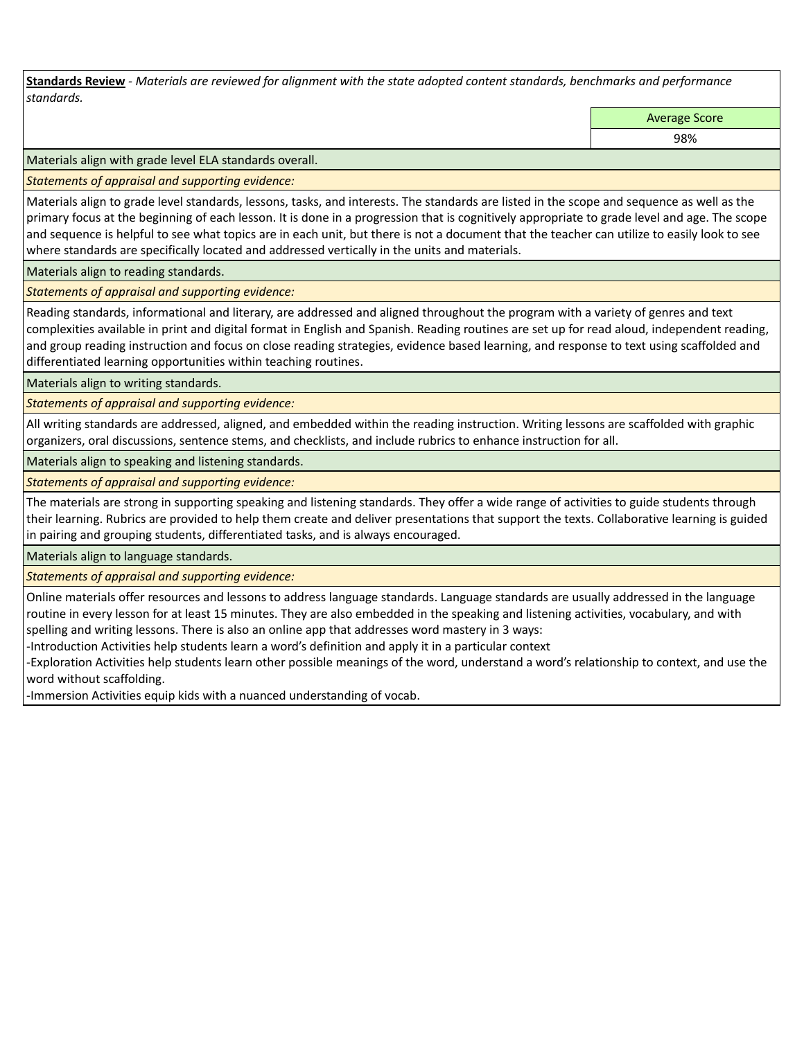**Standards Review** *- Materials are reviewed for alignment with the state adopted content standards, benchmarks and performance standards.*

Average Score

98%

Materials align with grade level ELA standards overall.

*Statements of appraisal and supporting evidence:* 

Materials align to grade level standards, lessons, tasks, and interests. The standards are listed in the scope and sequence as well as the primary focus at the beginning of each lesson. It is done in a progression that is cognitively appropriate to grade level and age. The scope and sequence is helpful to see what topics are in each unit, but there is not a document that the teacher can utilize to easily look to see where standards are specifically located and addressed vertically in the units and materials.

Materials align to reading standards.

*Statements of appraisal and supporting evidence:* 

Reading standards, informational and literary, are addressed and aligned throughout the program with a variety of genres and text complexities available in print and digital format in English and Spanish. Reading routines are set up for read aloud, independent reading, and group reading instruction and focus on close reading strategies, evidence based learning, and response to text using scaffolded and differentiated learning opportunities within teaching routines.

Materials align to writing standards.

*Statements of appraisal and supporting evidence:* 

All writing standards are addressed, aligned, and embedded within the reading instruction. Writing lessons are scaffolded with graphic organizers, oral discussions, sentence stems, and checklists, and include rubrics to enhance instruction for all.

Materials align to speaking and listening standards.

*Statements of appraisal and supporting evidence:* 

The materials are strong in supporting speaking and listening standards. They offer a wide range of activities to guide students through their learning. Rubrics are provided to help them create and deliver presentations that support the texts. Collaborative learning is guided in pairing and grouping students, differentiated tasks, and is always encouraged.

Materials align to language standards.

*Statements of appraisal and supporting evidence:* 

Online materials offer resources and lessons to address language standards. Language standards are usually addressed in the language routine in every lesson for at least 15 minutes. They are also embedded in the speaking and listening activities, vocabulary, and with spelling and writing lessons. There is also an online app that addresses word mastery in 3 ways:

-Introduction Activities help students learn a word's definition and apply it in a particular context

-Exploration Activities help students learn other possible meanings of the word, understand a word's relationship to context, and use the word without scaffolding.

-Immersion Activities equip kids with a nuanced understanding of vocab.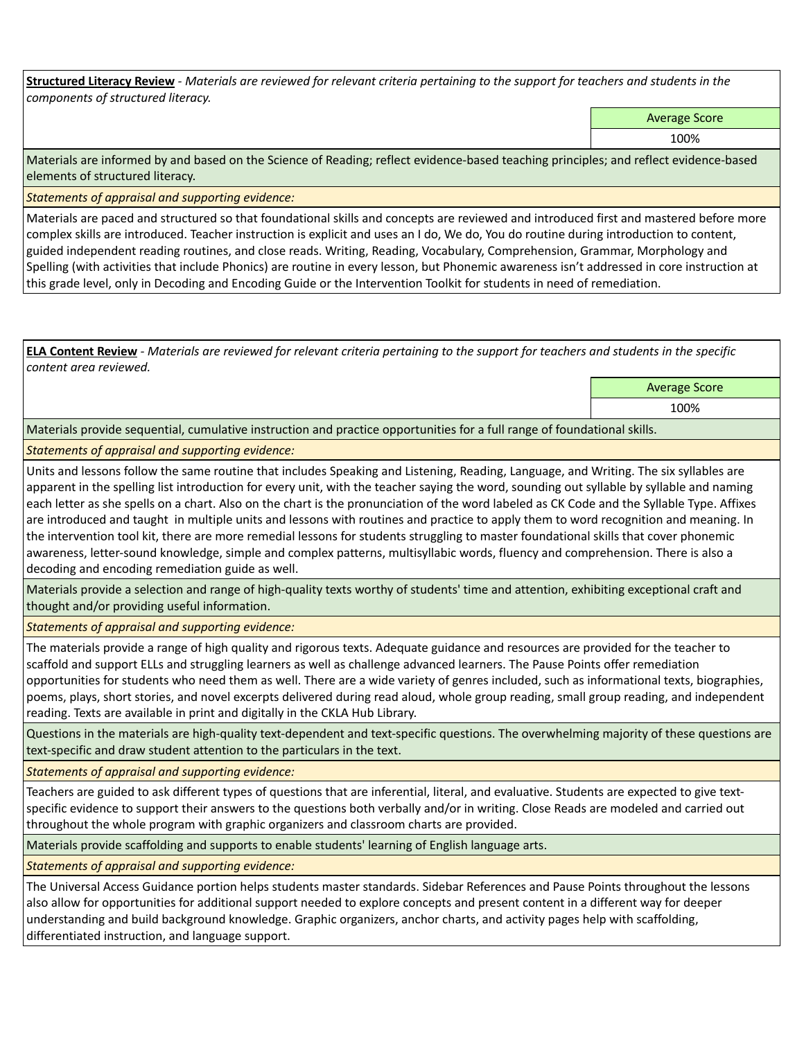**Structured Literacy Review** *- Materials are reviewed for relevant criteria pertaining to the support for teachers and students in the components of structured literacy.*

Average Score

100%

Materials are informed by and based on the Science of Reading; reflect evidence-based teaching principles; and reflect evidence-based elements of structured literacy.

*Statements of appraisal and supporting evidence:*

Materials are paced and structured so that foundational skills and concepts are reviewed and introduced first and mastered before more complex skills are introduced. Teacher instruction is explicit and uses an I do, We do, You do routine during introduction to content, guided independent reading routines, and close reads. Writing, Reading, Vocabulary, Comprehension, Grammar, Morphology and Spelling (with activities that include Phonics) are routine in every lesson, but Phonemic awareness isn't addressed in core instruction at this grade level, only in Decoding and Encoding Guide or the Intervention Toolkit for students in need of remediation.

**ELA Content Review** *- Materials are reviewed for relevant criteria pertaining to the support for teachers and students in the specific content area reviewed.*

> Average Score 100%

Materials provide sequential, cumulative instruction and practice opportunities for a full range of foundational skills.

## *Statements of appraisal and supporting evidence:*

Units and lessons follow the same routine that includes Speaking and Listening, Reading, Language, and Writing. The six syllables are apparent in the spelling list introduction for every unit, with the teacher saying the word, sounding out syllable by syllable and naming each letter as she spells on a chart. Also on the chart is the pronunciation of the word labeled as CK Code and the Syllable Type. Affixes are introduced and taught in multiple units and lessons with routines and practice to apply them to word recognition and meaning. In the intervention tool kit, there are more remedial lessons for students struggling to master foundational skills that cover phonemic awareness, letter-sound knowledge, simple and complex patterns, multisyllabic words, fluency and comprehension. There is also a decoding and encoding remediation guide as well.

Materials provide a selection and range of high-quality texts worthy of students' time and attention, exhibiting exceptional craft and thought and/or providing useful information.

*Statements of appraisal and supporting evidence:* 

The materials provide a range of high quality and rigorous texts. Adequate guidance and resources are provided for the teacher to scaffold and support ELLs and struggling learners as well as challenge advanced learners. The Pause Points offer remediation opportunities for students who need them as well. There are a wide variety of genres included, such as informational texts, biographies, poems, plays, short stories, and novel excerpts delivered during read aloud, whole group reading, small group reading, and independent reading. Texts are available in print and digitally in the CKLA Hub Library.

Questions in the materials are high-quality text-dependent and text-specific questions. The overwhelming majority of these questions are text-specific and draw student attention to the particulars in the text.

*Statements of appraisal and supporting evidence:* 

Teachers are guided to ask different types of questions that are inferential, literal, and evaluative. Students are expected to give textspecific evidence to support their answers to the questions both verbally and/or in writing. Close Reads are modeled and carried out throughout the whole program with graphic organizers and classroom charts are provided.

Materials provide scaffolding and supports to enable students' learning of English language arts.

*Statements of appraisal and supporting evidence:* 

The Universal Access Guidance portion helps students master standards. Sidebar References and Pause Points throughout the lessons also allow for opportunities for additional support needed to explore concepts and present content in a different way for deeper understanding and build background knowledge. Graphic organizers, anchor charts, and activity pages help with scaffolding, differentiated instruction, and language support.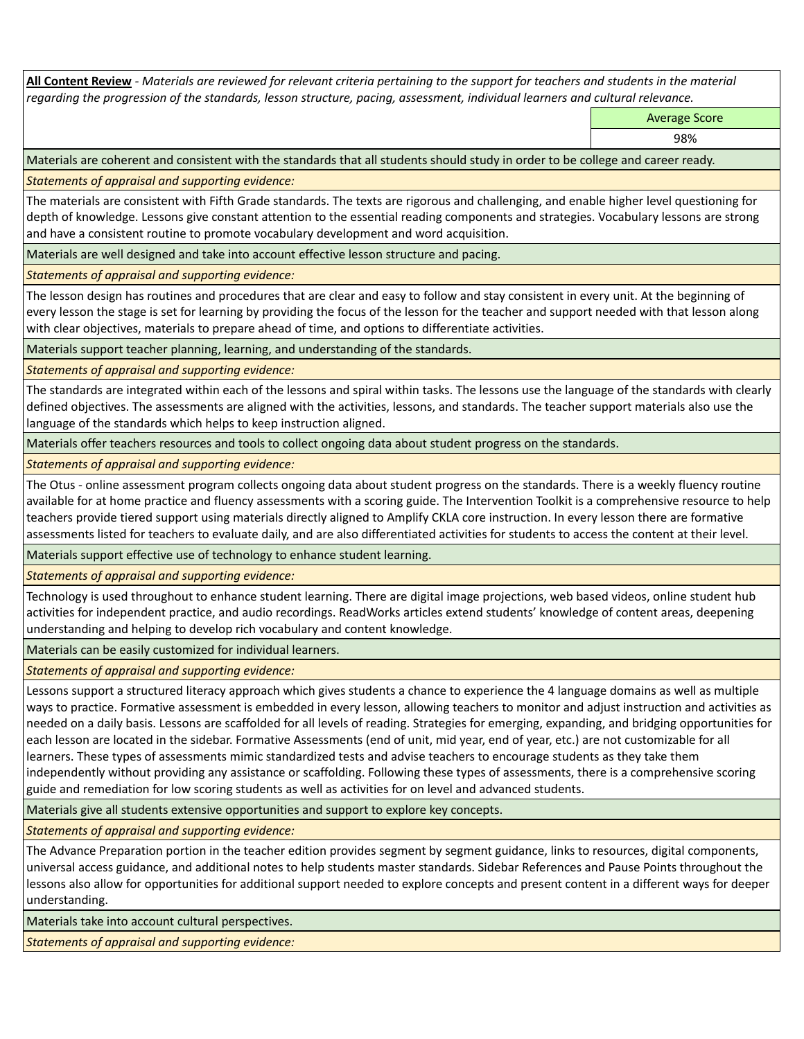**All Content Review** *- Materials are reviewed for relevant criteria pertaining to the support for teachers and students in the material regarding the progression of the standards, lesson structure, pacing, assessment, individual learners and cultural relevance.*

Average Score

98%

Materials are coherent and consistent with the standards that all students should study in order to be college and career ready.

*Statements of appraisal and supporting evidence:*

The materials are consistent with Fifth Grade standards. The texts are rigorous and challenging, and enable higher level questioning for depth of knowledge. Lessons give constant attention to the essential reading components and strategies. Vocabulary lessons are strong and have a consistent routine to promote vocabulary development and word acquisition.

Materials are well designed and take into account effective lesson structure and pacing.

*Statements of appraisal and supporting evidence:*

The lesson design has routines and procedures that are clear and easy to follow and stay consistent in every unit. At the beginning of every lesson the stage is set for learning by providing the focus of the lesson for the teacher and support needed with that lesson along with clear objectives, materials to prepare ahead of time, and options to differentiate activities.

Materials support teacher planning, learning, and understanding of the standards.

*Statements of appraisal and supporting evidence:*

The standards are integrated within each of the lessons and spiral within tasks. The lessons use the language of the standards with clearly defined objectives. The assessments are aligned with the activities, lessons, and standards. The teacher support materials also use the language of the standards which helps to keep instruction aligned.

Materials offer teachers resources and tools to collect ongoing data about student progress on the standards.

*Statements of appraisal and supporting evidence:*

The Otus - online assessment program collects ongoing data about student progress on the standards. There is a weekly fluency routine available for at home practice and fluency assessments with a scoring guide. The Intervention Toolkit is a comprehensive resource to help teachers provide tiered support using materials directly aligned to Amplify CKLA core instruction. In every lesson there are formative assessments listed for teachers to evaluate daily, and are also differentiated activities for students to access the content at their level.

Materials support effective use of technology to enhance student learning.

*Statements of appraisal and supporting evidence:*

Technology is used throughout to enhance student learning. There are digital image projections, web based videos, online student hub activities for independent practice, and audio recordings. ReadWorks articles extend students' knowledge of content areas, deepening understanding and helping to develop rich vocabulary and content knowledge.

Materials can be easily customized for individual learners.

*Statements of appraisal and supporting evidence:* 

Lessons support a structured literacy approach which gives students a chance to experience the 4 language domains as well as multiple ways to practice. Formative assessment is embedded in every lesson, allowing teachers to monitor and adjust instruction and activities as needed on a daily basis. Lessons are scaffolded for all levels of reading. Strategies for emerging, expanding, and bridging opportunities for each lesson are located in the sidebar. Formative Assessments (end of unit, mid year, end of year, etc.) are not customizable for all learners. These types of assessments mimic standardized tests and advise teachers to encourage students as they take them independently without providing any assistance or scaffolding. Following these types of assessments, there is a comprehensive scoring guide and remediation for low scoring students as well as activities for on level and advanced students.

Materials give all students extensive opportunities and support to explore key concepts.

*Statements of appraisal and supporting evidence:*

The Advance Preparation portion in the teacher edition provides segment by segment guidance, links to resources, digital components, universal access guidance, and additional notes to help students master standards. Sidebar References and Pause Points throughout the lessons also allow for opportunities for additional support needed to explore concepts and present content in a different ways for deeper understanding.

Materials take into account cultural perspectives.

*Statements of appraisal and supporting evidence:*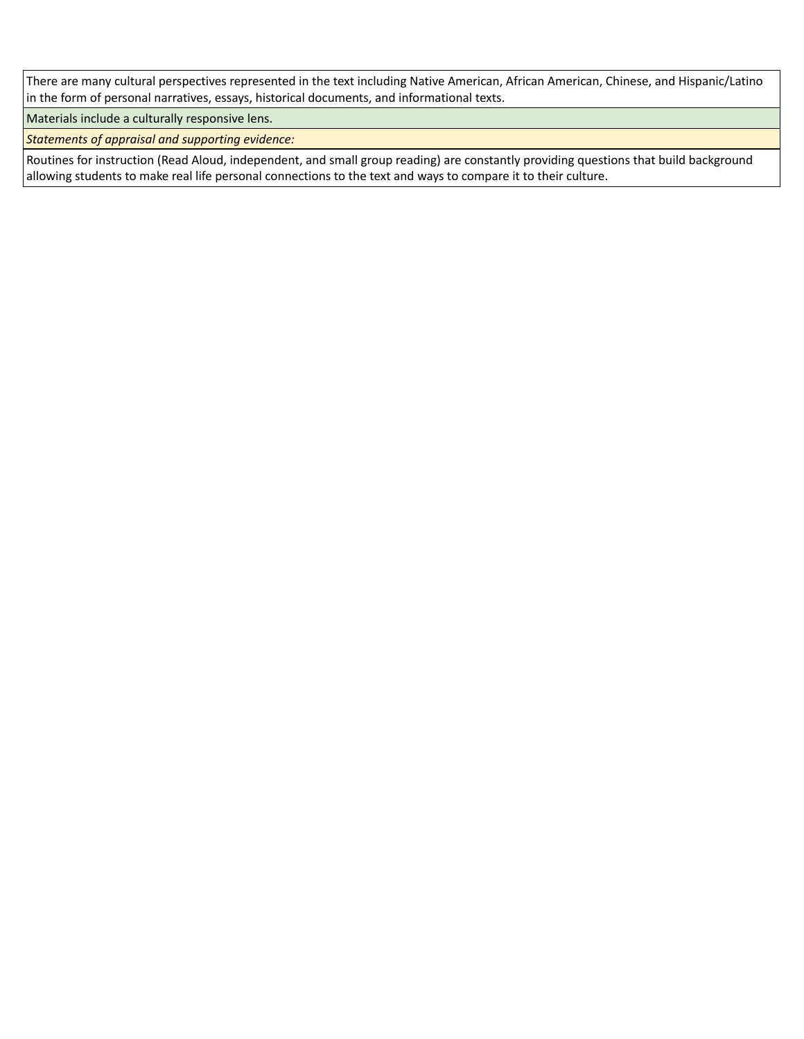There are many cultural perspectives represented in the text including Native American, African American, Chinese, and Hispanic/Latino in the form of personal narratives, essays, historical documents, and informational texts.

Materials include a culturally responsive lens.

*Statements of appraisal and supporting evidence:*

Routines for instruction (Read Aloud, independent, and small group reading) are constantly providing questions that build background allowing students to make real life personal connections to the text and ways to compare it to their culture.